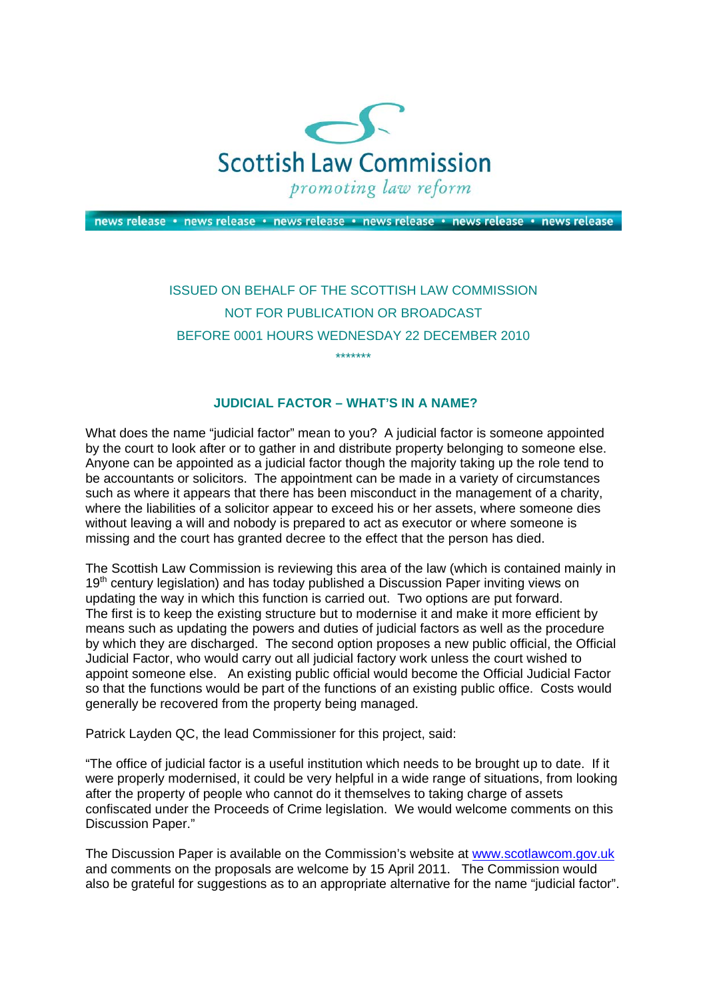

news release · news release · news release · news release · news release · news release

## ISSUED ON BEHALF OF THE SCOTTISH LAW COMMISSION NOT FOR PUBLICATION OR BROADCAST BEFORE 0001 HOURS WEDNESDAY 22 DECEMBER 2010 \*\*\*\*\*\*\*

## **JUDICIAL FACTOR – WHAT'S IN A NAME?**

What does the name "judicial factor" mean to you? A judicial factor is someone appointed by the court to look after or to gather in and distribute property belonging to someone else. Anyone can be appointed as a judicial factor though the majority taking up the role tend to be accountants or solicitors. The appointment can be made in a variety of circumstances such as where it appears that there has been misconduct in the management of a charity, where the liabilities of a solicitor appear to exceed his or her assets, where someone dies without leaving a will and nobody is prepared to act as executor or where someone is missing and the court has granted decree to the effect that the person has died.

The Scottish Law Commission is reviewing this area of the law (which is contained mainly in 19<sup>th</sup> century legislation) and has today published a Discussion Paper inviting views on updating the way in which this function is carried out. Two options are put forward. The first is to keep the existing structure but to modernise it and make it more efficient by means such as updating the powers and duties of judicial factors as well as the procedure by which they are discharged. The second option proposes a new public official, the Official Judicial Factor, who would carry out all judicial factory work unless the court wished to appoint someone else. An existing public official would become the Official Judicial Factor so that the functions would be part of the functions of an existing public office. Costs would generally be recovered from the property being managed.

Patrick Layden QC, the lead Commissioner for this project, said:

"The office of judicial factor is a useful institution which needs to be brought up to date. If it were properly modernised, it could be very helpful in a wide range of situations, from looking after the property of people who cannot do it themselves to taking charge of assets confiscated under the Proceeds of Crime legislation. We would welcome comments on this Discussion Paper."

The Discussion Paper is available on the Commission's website at [www.scotlawcom.gov.uk](http://www.scotlawcom.gov.uk/)  and comments on the proposals are welcome by 15 April 2011. The Commission would also be grateful for suggestions as to an appropriate alternative for the name "judicial factor".